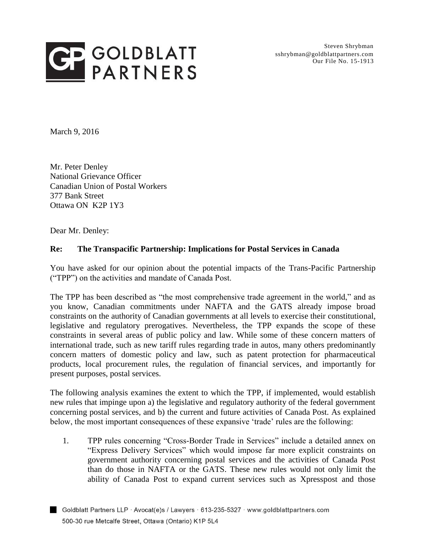

Steven Shrybman sshrybman@goldblattpartners.com Our File No. 15-1913

March 9, 2016

Mr. Peter Denley National Grievance Officer Canadian Union of Postal Workers 377 Bank Street Ottawa ON K2P 1Y3

Dear Mr. Denley:

#### **Re: The Transpacific Partnership: Implications for Postal Services in Canada**

You have asked for our opinion about the potential impacts of the Trans-Pacific Partnership ("TPP") on the activities and mandate of Canada Post.

The TPP has been described as "the most comprehensive trade agreement in the world," and as you know, Canadian commitments under NAFTA and the GATS already impose broad constraints on the authority of Canadian governments at all levels to exercise their constitutional, legislative and regulatory prerogatives. Nevertheless, the TPP expands the scope of these constraints in several areas of public policy and law. While some of these concern matters of international trade, such as new tariff rules regarding trade in autos, many others predominantly concern matters of domestic policy and law, such as patent protection for pharmaceutical products, local procurement rules, the regulation of financial services, and importantly for present purposes, postal services.

The following analysis examines the extent to which the TPP, if implemented, would establish new rules that impinge upon a) the legislative and regulatory authority of the federal government concerning postal services, and b) the current and future activities of Canada Post. As explained below, the most important consequences of these expansive 'trade' rules are the following:

1. TPP rules concerning "Cross-Border Trade in Services" include a detailed annex on "Express Delivery Services" which would impose far more explicit constraints on government authority concerning postal services and the activities of Canada Post than do those in NAFTA or the GATS. These new rules would not only limit the ability of Canada Post to expand current services such as Xpresspost and those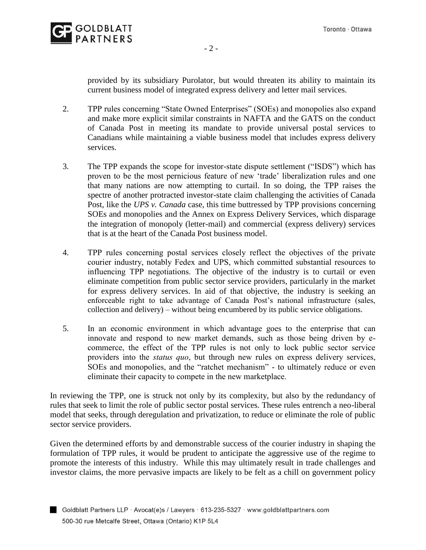

provided by its subsidiary Purolator, but would threaten its ability to maintain its current business model of integrated express delivery and letter mail services.

- 2. TPP rules concerning "State Owned Enterprises" (SOEs) and monopolies also expand and make more explicit similar constraints in NAFTA and the GATS on the conduct of Canada Post in meeting its mandate to provide universal postal services to Canadians while maintaining a viable business model that includes express delivery services.
- 3. The TPP expands the scope for investor-state dispute settlement ("ISDS") which has proven to be the most pernicious feature of new 'trade' liberalization rules and one that many nations are now attempting to curtail. In so doing, the TPP raises the spectre of another protracted investor-state claim challenging the activities of Canada Post, like the *UPS v. Canada* case*,* this time buttressed by TPP provisions concerning SOEs and monopolies and the Annex on Express Delivery Services, which disparage the integration of monopoly (letter-mail) and commercial (express delivery) services that is at the heart of the Canada Post business model.
- 4. TPP rules concerning postal services closely reflect the objectives of the private courier industry, notably Fedex and UPS, which committed substantial resources to influencing TPP negotiations. The objective of the industry is to curtail or even eliminate competition from public sector service providers, particularly in the market for express delivery services. In aid of that objective, the industry is seeking an enforceable right to take advantage of Canada Post's national infrastructure (sales, collection and delivery) – without being encumbered by its public service obligations.
- 5. In an economic environment in which advantage goes to the enterprise that can innovate and respond to new market demands, such as those being driven by ecommerce, the effect of the TPP rules is not only to lock public sector service providers into the *status quo*, but through new rules on express delivery services, SOEs and monopolies, and the "ratchet mechanism" - to ultimately reduce or even eliminate their capacity to compete in the new marketplace.

In reviewing the TPP, one is struck not only by its complexity, but also by the redundancy of rules that seek to limit the role of public sector postal services. These rules entrench a neo-liberal model that seeks, through deregulation and privatization, to reduce or eliminate the role of public sector service providers.

Given the determined efforts by and demonstrable success of the courier industry in shaping the formulation of TPP rules, it would be prudent to anticipate the aggressive use of the regime to promote the interests of this industry. While this may ultimately result in trade challenges and investor claims, the more pervasive impacts are likely to be felt as a chill on government policy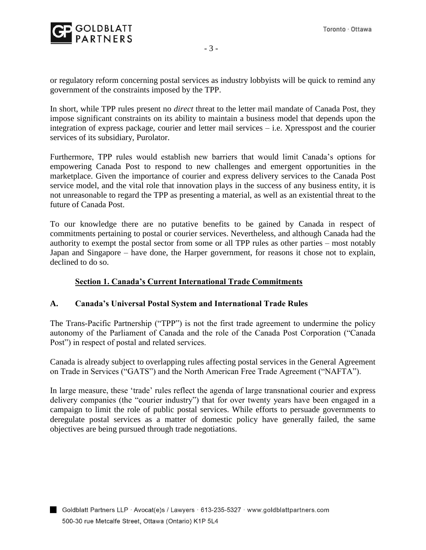

or regulatory reform concerning postal services as industry lobbyists will be quick to remind any government of the constraints imposed by the TPP.

In short, while TPP rules present no *direct* threat to the letter mail mandate of Canada Post, they impose significant constraints on its ability to maintain a business model that depends upon the integration of express package, courier and letter mail services – i.e. Xpresspost and the courier services of its subsidiary, Purolator.

Furthermore, TPP rules would establish new barriers that would limit Canada's options for empowering Canada Post to respond to new challenges and emergent opportunities in the marketplace. Given the importance of courier and express delivery services to the Canada Post service model, and the vital role that innovation plays in the success of any business entity, it is not unreasonable to regard the TPP as presenting a material, as well as an existential threat to the future of Canada Post.

To our knowledge there are no putative benefits to be gained by Canada in respect of commitments pertaining to postal or courier services. Nevertheless, and although Canada had the authority to exempt the postal sector from some or all TPP rules as other parties – most notably Japan and Singapore – have done, the Harper government, for reasons it chose not to explain, declined to do so.

### **Section 1. Canada's Current International Trade Commitments**

### **A. Canada's Universal Postal System and International Trade Rules**

The Trans-Pacific Partnership ("TPP") is not the first trade agreement to undermine the policy autonomy of the Parliament of Canada and the role of the Canada Post Corporation ("Canada Post") in respect of postal and related services.

Canada is already subject to overlapping rules affecting postal services in the General Agreement on Trade in Services ("GATS") and the North American Free Trade Agreement ("NAFTA").

In large measure, these 'trade' rules reflect the agenda of large transnational courier and express delivery companies (the "courier industry") that for over twenty years have been engaged in a campaign to limit the role of public postal services. While efforts to persuade governments to deregulate postal services as a matter of domestic policy have generally failed, the same objectives are being pursued through trade negotiations.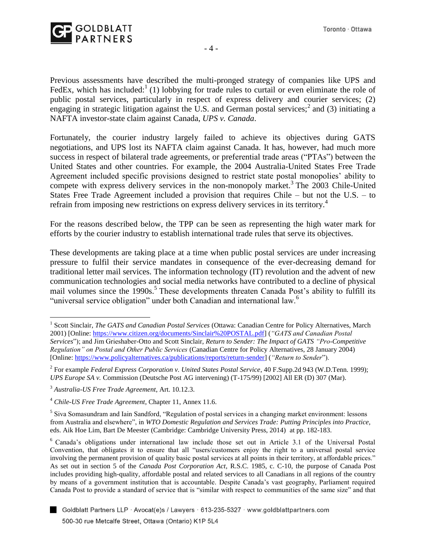

Previous assessments have described the multi-pronged strategy of companies like UPS and FedEx, which has included: $(1)$  lobbying for trade rules to curtail or even eliminate the role of public postal services, particularly in respect of express delivery and courier services; (2) engaging in strategic litigation against the U.S. and German postal services;<sup>2</sup> and (3) initiating a NAFTA investor-state claim against Canada, *UPS v. Canada*.

Fortunately, the courier industry largely failed to achieve its objectives during GATS negotiations, and UPS lost its NAFTA claim against Canada. It has, however, had much more success in respect of bilateral trade agreements, or preferential trade areas ("PTAs") between the United States and other countries. For example, the 2004 Australia-United States Free Trade Agreement included specific provisions designed to restrict state postal monopolies' ability to compete with express delivery services in the non-monopoly market.<sup>3</sup> The  $2003$  Chile-United States Free Trade Agreement included a provision that requires Chile – but not the U.S. – to refrain from imposing new restrictions on express delivery services in its territory.<sup>4</sup>

For the reasons described below, the TPP can be seen as representing the high water mark for efforts by the courier industry to establish international trade rules that serve its objectives.

These developments are taking place at a time when public postal services are under increasing pressure to fulfil their service mandates in consequence of the ever-decreasing demand for traditional letter mail services. The information technology (IT) revolution and the advent of new communication technologies and social media networks have contributed to a decline of physical mail volumes since the 1990s.<sup>5</sup> These developments threaten Canada Post's ability to fulfill its "universal service obligation" under both Canadian and international law.<sup>6</sup>

<sup>&</sup>lt;sup>1</sup> Scott Sinclair, *The GATS and Canadian Postal Services* (Ottawa: Canadian Centre for Policy Alternatives, March 2001) [Online: [https://www.citizen.org/documents/Sinclair%20POSTAL.pdf\]](https://www.citizen.org/documents/Sinclair%20POSTAL.pdf) (*"GATS and Canadian Postal Services*"); and Jim Grieshaber-Otto and Scott Sinclair, *Return to Sender: The Impact of GATS "Pro-Competitive Regulation" on Postal and Other Public Services* (Canadian Centre for Policy Alternatives, 28 January 2004) [Online: [https://www.policyalternatives.ca/publications/reports/return-sender\]](https://www.policyalternatives.ca/publications/reports/return-sender) (*"Return to Sender*").

<sup>2</sup> For example *Federal Express Corporation v. United States Postal Service*, 40 F.Supp.2d 943 (W.D.Tenn. 1999); *UPS Europe SA v.* Commission (Deutsche Post AG intervening) (T-175/99) [2002] All ER (D) 307 (Mar).

<sup>3</sup> *Australia-US Free Trade Agreement*, Art. 10.12.3.

<sup>4</sup> *Chile-US Free Trade Agreement*, Chapter 11, Annex 11.6.

<sup>&</sup>lt;sup>5</sup> Siva Somasundram and Iain Sandford, "Regulation of postal services in a changing market environment: lessons from Australia and elsewhere", in *WTO Domestic Regulation and Services Trade: Putting Principles into Practice,*  eds. Aik Hoe Lim, Bart De Meester (Cambridge: Cambridge University Press, 2014) at pp. 182-183.

<sup>6</sup> Canada's obligations under international law include those set out in Article 3.1 of the Universal Postal Convention, that obligates it to ensure that all "users/customers enjoy the right to a universal postal service involving the permanent provision of quality basic postal services at all points in their territory, at affordable prices." As set out in section 5 of the *Canada Post Corporation Act*, R.S.C. 1985, c. C-10, the purpose of Canada Post includes providing high-quality, affordable postal and related services to all Canadians in all regions of the country by means of a government institution that is accountable. Despite Canada's vast geography, Parliament required Canada Post to provide a standard of service that is "similar with respect to communities of the same size" and that

Goldblatt Partners LLP · Avocat(e)s / Lawyers · 613-235-5327 · www.goldblattpartners.com 500-30 rue Metcalfe Street, Ottawa (Ontario) K1P 5L4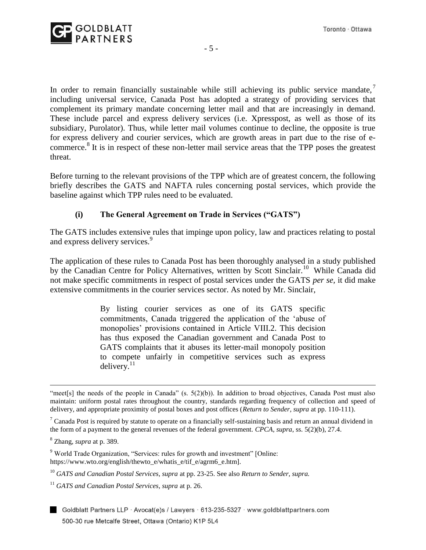

In order to remain financially sustainable while still achieving its public service mandate,  $\frac{7}{1}$ including universal service, Canada Post has adopted a strategy of providing services that complement its primary mandate concerning letter mail and that are increasingly in demand. These include parcel and express delivery services (i.e. Xpresspost, as well as those of its subsidiary, Purolator). Thus, while letter mail volumes continue to decline, the opposite is true for express delivery and courier services, which are growth areas in part due to the rise of ecommerce.<sup>8</sup> It is in respect of these non-letter mail service areas that the TPP poses the greatest threat.

Before turning to the relevant provisions of the TPP which are of greatest concern, the following briefly describes the GATS and NAFTA rules concerning postal services, which provide the baseline against which TPP rules need to be evaluated.

# **(i) The General Agreement on Trade in Services ("GATS")**

The GATS includes extensive rules that impinge upon policy, law and practices relating to postal and express delivery services.<sup>9</sup>

The application of these rules to Canada Post has been thoroughly analysed in a study published by the Canadian Centre for Policy Alternatives, written by Scott Sinclair.<sup>10</sup> While Canada did not make specific commitments in respect of postal services under the GATS *per se,* it did make extensive commitments in the courier services sector. As noted by Mr. Sinclair,

> By listing courier services as one of its GATS specific commitments, Canada triggered the application of the 'abuse of monopolies' provisions contained in Article VIII.2. This decision has thus exposed the Canadian government and Canada Post to GATS complaints that it abuses its letter-mail monopoly position to compete unfairly in competitive services such as express  $delivery.<sup>11</sup>$

<sup>&</sup>quot;meet[s] the needs of the people in Canada" (s.  $5(2)(b)$ ). In addition to broad objectives, Canada Post must also maintain: uniform postal rates throughout the country, standards regarding frequency of collection and speed of delivery, and appropriate proximity of postal boxes and post offices (*Return to Sender, supra* at pp. 110-111).

<sup>&</sup>lt;sup>7</sup> Canada Post is required by statute to operate on a financially self-sustaining basis and return an annual dividend in the form of a payment to the general revenues of the federal government. *CPCA, supra*, ss. 5(2)(b), 27.4.

<sup>8</sup> Zhang*, supra* at p. 389.

<sup>9</sup> World Trade Organization, "Services: rules for growth and investment" [Online: https://www.wto.org/english/thewto\_e/whatis\_e/tif\_e/agrm6\_e.htm].

<sup>10</sup> *GATS and Canadian Postal Services, supra* at pp. 23-25. See also *Return to Sender, supra.* 

<sup>11</sup> *GATS and Canadian Postal Services, supra* at p. 26.

Goldblatt Partners LLP · Avocat(e)s / Lawyers · 613-235-5327 · www.goldblattpartners.com 500-30 rue Metcalfe Street, Ottawa (Ontario) K1P 5L4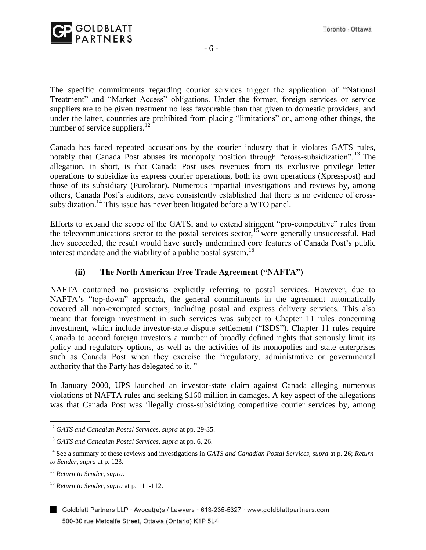

- 6 -

The specific commitments regarding courier services trigger the application of "National Treatment" and "Market Access" obligations. Under the former, foreign services or service suppliers are to be given treatment no less favourable than that given to domestic providers, and under the latter, countries are prohibited from placing "limitations" on, among other things, the number of service suppliers. $^{12}$ 

Canada has faced repeated accusations by the courier industry that it violates GATS rules, notably that Canada Post abuses its monopoly position through "cross-subsidization".<sup>13</sup> The allegation, in short, is that Canada Post uses revenues from its exclusive privilege letter operations to subsidize its express courier operations, both its own operations (Xpresspost) and those of its subsidiary (Purolator). Numerous impartial investigations and reviews by, among others, Canada Post's auditors, have consistently established that there is no evidence of crosssubsidization.<sup>14</sup> This issue has never been litigated before a WTO panel.

Efforts to expand the scope of the GATS, and to extend stringent "pro-competitive" rules from the telecommunications sector to the postal services sector,<sup>15</sup> were generally unsuccessful. Had they succeeded, the result would have surely undermined core features of Canada Post's public interest mandate and the viability of a public postal system.<sup>16</sup>

# **(ii) The North American Free Trade Agreement ("NAFTA")**

NAFTA contained no provisions explicitly referring to postal services. However, due to NAFTA's "top-down" approach, the general commitments in the agreement automatically covered all non-exempted sectors, including postal and express delivery services. This also meant that foreign investment in such services was subject to Chapter 11 rules concerning investment, which include investor-state dispute settlement ("ISDS"). Chapter 11 rules require Canada to accord foreign investors a number of broadly defined rights that seriously limit its policy and regulatory options, as well as the activities of its monopolies and state enterprises such as Canada Post when they exercise the "regulatory, administrative or governmental authority that the Party has delegated to it. "

In January 2000, UPS launched an investor-state claim against Canada alleging numerous violations of NAFTA rules and seeking \$160 million in damages. A key aspect of the allegations was that Canada Post was illegally cross-subsidizing competitive courier services by, among

<sup>12</sup> *GATS and Canadian Postal Services, supra* at pp. 29-35.

<sup>13</sup> *GATS and Canadian Postal Services, supra* at pp. 6, 26.

<sup>14</sup> See a summary of these reviews and investigations in *GATS and Canadian Postal Services, supra* at p. 26; *Return to Sender, supra* at p. 123.

<sup>15</sup> *Return to Sender, supra.* 

<sup>16</sup> *Return to Sender, supra* at p. 111-112.

Goldblatt Partners LLP · Avocat(e)s / Lawyers · 613-235-5327 · www.goldblattpartners.com 500-30 rue Metcalfe Street, Ottawa (Ontario) K1P 5L4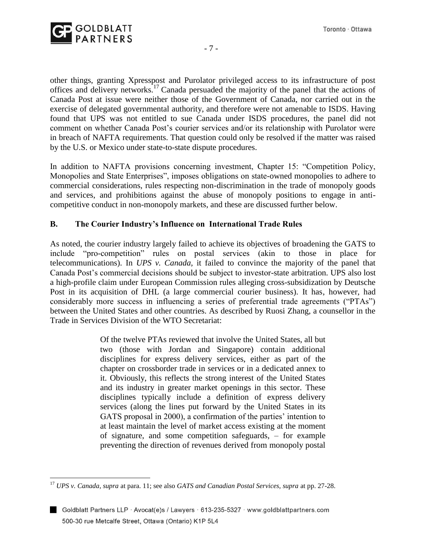

 $\overline{a}$ 

other things, granting Xpresspost and Purolator privileged access to its infrastructure of post offices and delivery networks.<sup>17</sup> Canada persuaded the majority of the panel that the actions of Canada Post at issue were neither those of the Government of Canada, nor carried out in the exercise of delegated governmental authority, and therefore were not amenable to ISDS. Having found that UPS was not entitled to sue Canada under ISDS procedures, the panel did not comment on whether Canada Post's courier services and/or its relationship with Purolator were in breach of NAFTA requirements. That question could only be resolved if the matter was raised by the U.S. or Mexico under state-to-state dispute procedures.

In addition to NAFTA provisions concerning investment, Chapter 15: "Competition Policy, Monopolies and State Enterprises", imposes obligations on state-owned monopolies to adhere to commercial considerations, rules respecting non-discrimination in the trade of monopoly goods and services, and prohibitions against the abuse of monopoly positions to engage in anticompetitive conduct in non-monopoly markets, and these are discussed further below.

#### **B. The Courier Industry's Influence on International Trade Rules**

As noted, the courier industry largely failed to achieve its objectives of broadening the GATS to include "pro-competition" rules on postal services (akin to those in place for telecommunications). In *UPS v. Canada,* it failed to convince the majority of the panel that Canada Post's commercial decisions should be subject to investor-state arbitration. UPS also lost a high-profile claim under European Commission rules alleging cross-subsidization by Deutsche Post in its acquisition of DHL (a large commercial courier business). It has, however, had considerably more success in influencing a series of preferential trade agreements ("PTAs") between the United States and other countries. As described by Ruosi Zhang, a counsellor in the Trade in Services Division of the WTO Secretariat:

> Of the twelve PTAs reviewed that involve the United States, all but two (those with Jordan and Singapore) contain additional disciplines for express delivery services, either as part of the chapter on crossborder trade in services or in a dedicated annex to it. Obviously, this reflects the strong interest of the United States and its industry in greater market openings in this sector. These disciplines typically include a definition of express delivery services (along the lines put forward by the United States in its GATS proposal in 2000), a confirmation of the parties' intention to at least maintain the level of market access existing at the moment of signature, and some competition safeguards, – for example preventing the direction of revenues derived from monopoly postal

<sup>17</sup> *UPS v. Canada, supra* at para. 11; see also *GATS and Canadian Postal Services, supra* at pp. 27-28.

Goldblatt Partners LLP · Avocat(e)s / Lawyers · 613-235-5327 · www.goldblattpartners.com 500-30 rue Metcalfe Street, Ottawa (Ontario) K1P 5L4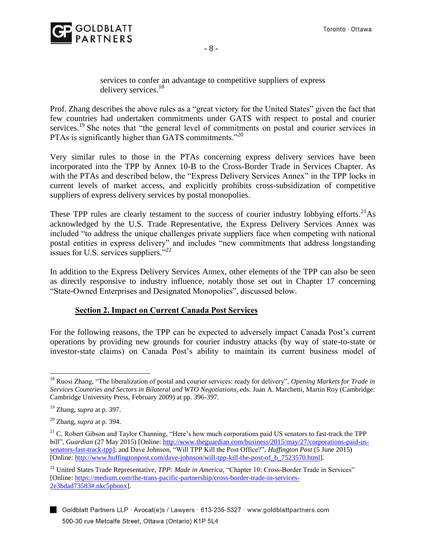

services to confer an advantage to competitive suppliers of express delivery services.<sup>18</sup>

Prof. Zhang describes the above rules as a "great victory for the United States" given the fact that few countries had undertaken commitments under GATS with respect to postal and courier services.<sup>19</sup> She notes that "the general level of commitments on postal and courier services in PTAs is significantly higher than GATS commitments.<sup>"20</sup>

Very similar rules to those in the PTAs concerning express delivery services have been incorporated into the TPP by Annex 10-B to the Cross-Border Trade in Services Chapter. As with the PTAs and described below, the "Express Delivery Services Annex" in the TPP locks in current levels of market access, and explicitly prohibits cross-subsidization of competitive suppliers of express delivery services by postal monopolies.

These TPP rules are clearly testament to the success of courier industry lobbying efforts.<sup>21</sup>As acknowledged by the U.S. Trade Representative, the Express Delivery Services Annex was included "to address the unique challenges private suppliers face when competing with national postal entities in express delivery" and includes "new commitments that address longstanding issues for U.S. services suppliers."<sup>22</sup>

In addition to the Express Delivery Services Annex, other elements of the TPP can also be seen as directly responsive to industry influence, notably those set out in Chapter 17 concerning "State-Owned Enterprises and Designated Monopolies", discussed below.

### **Section 2. Impact on Current Canada Post Services**

For the following reasons, the TPP can be expected to adversely impact Canada Post's current operations by providing new grounds for courier industry attacks (by way of state-to-state or investor-state claims) on Canada Post's ability to maintain its current business model of

<sup>18</sup> Ruosi Zhang, "The liberalization of postal and courier services: ready for delivery", *Opening Markets for Trade in Services Countries and Sectors in Bilateral and WTO Negotiations*, eds. Juan A. Marchetti, Martin Roy (Cambridge: Cambridge University Press, February 2009) at pp. 396-397.

<sup>19</sup> Zhang, *supra* at p. 397.

<sup>20</sup> Zhang, *supra* at p. 394.

 $21$  C. Robert Gibson and Taylor Channing, "Here's how much corporations paid US senators to fast-track the TPP bill", *Guardian* (27 May 2015) [Online: [http://www.theguardian.com/business/2015/may/27/corporations-paid-us](http://www.theguardian.com/business/2015/may/27/corporations-paid-us-senators-fast-track-tpp)[senators-fast-track-tpp\]](http://www.theguardian.com/business/2015/may/27/corporations-paid-us-senators-fast-track-tpp); and Dave Johnson, "Will TPP Kill the Post Office?", *Huffington Post* (5 June 2015) [Online: [http://www.huffingtonpost.com/dave-johnson/will-tpp-kill-the-post-of\\_b\\_7523570.html\]](http://www.huffingtonpost.com/dave-johnson/will-tpp-kill-the-post-of_b_7523570.html).

<sup>&</sup>lt;sup>22</sup> United States Trade Representative, *TPP: Made in America*, "Chapter 10: Cross-Border Trade in Services" [Online: [https://medium.com/the-trans-pacific-partnership/cross-border-trade-in-services-](https://medium.com/the-trans-pacific-partnership/cross-border-trade-in-services-2e3bdad73583#.nkc5phonx)[2e3bdad73583#.nkc5phonx\]](https://medium.com/the-trans-pacific-partnership/cross-border-trade-in-services-2e3bdad73583#.nkc5phonx).

Goldblatt Partners LLP · Avocat(e)s / Lawyers · 613-235-5327 · www.goldblattpartners.com 500-30 rue Metcalfe Street, Ottawa (Ontario) K1P 5L4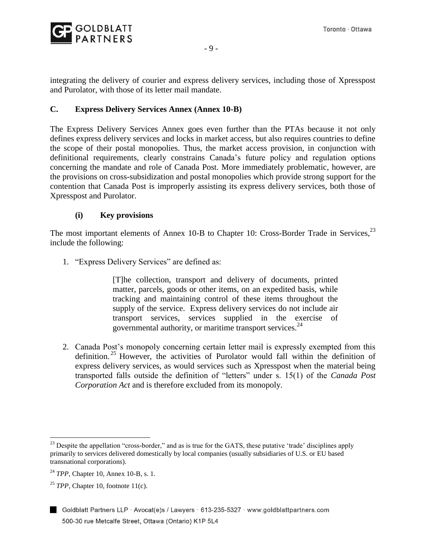

integrating the delivery of courier and express delivery services, including those of Xpresspost and Purolator, with those of its letter mail mandate.

#### **C. Express Delivery Services Annex (Annex 10-B)**

The Express Delivery Services Annex goes even further than the PTAs because it not only defines express delivery services and locks in market access, but also requires countries to define the scope of their postal monopolies. Thus, the market access provision, in conjunction with definitional requirements, clearly constrains Canada's future policy and regulation options concerning the mandate and role of Canada Post. More immediately problematic, however, are the provisions on cross-subsidization and postal monopolies which provide strong support for the contention that Canada Post is improperly assisting its express delivery services, both those of Xpresspost and Purolator.

#### **(i) Key provisions**

The most important elements of Annex 10-B to Chapter 10: Cross-Border Trade in Services,<sup>23</sup> include the following:

1. "Express Delivery Services" are defined as:

[T]he collection, transport and delivery of documents, printed matter, parcels, goods or other items, on an expedited basis, while tracking and maintaining control of these items throughout the supply of the service. Express delivery services do not include air transport services, services supplied in the exercise of governmental authority, or maritime transport services.<sup>24</sup>

2. Canada Post's monopoly concerning certain letter mail is expressly exempted from this definition. <sup>25</sup> However, the activities of Purolator would fall within the definition of express delivery services, as would services such as Xpresspost when the material being transported falls outside the definition of "letters" under s. 15(1) of the *Canada Post Corporation Act* and is therefore excluded from its monopoly.

 $^{23}$  Despite the appellation "cross-border," and as is true for the GATS, these putative 'trade' disciplines apply primarily to services delivered domestically by local companies (usually subsidiaries of U.S. or EU based transnational corporations).

<sup>24</sup> *TPP,* Chapter 10, Annex 10-B, s. 1.

<sup>&</sup>lt;sup>25</sup> *TPP*, Chapter 10, footnote 11(c).

Goldblatt Partners LLP · Avocat(e)s / Lawyers · 613-235-5327 · www.goldblattpartners.com 500-30 rue Metcalfe Street, Ottawa (Ontario) K1P 5L4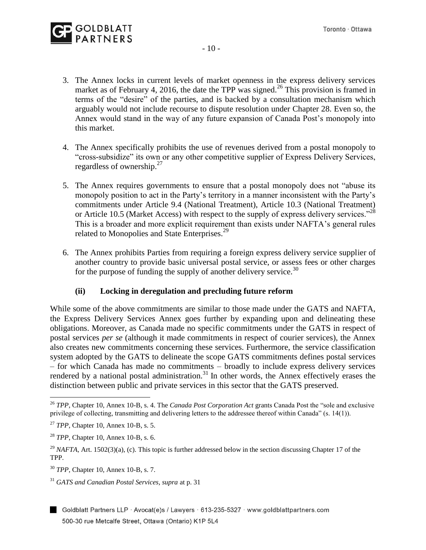

- 3. The Annex locks in current levels of market openness in the express delivery services market as of February 4, 2016, the date the TPP was signed.<sup>26</sup> This provision is framed in terms of the "desire" of the parties, and is backed by a consultation mechanism which arguably would not include recourse to dispute resolution under Chapter 28. Even so, the Annex would stand in the way of any future expansion of Canada Post's monopoly into this market.
- 4. The Annex specifically prohibits the use of revenues derived from a postal monopoly to "cross-subsidize" its own or any other competitive supplier of Express Delivery Services, regardless of ownership.<sup>27</sup>
- 5. The Annex requires governments to ensure that a postal monopoly does not "abuse its monopoly position to act in the Party's territory in a manner inconsistent with the Party's commitments under Article 9.4 (National Treatment), Article 10.3 (National Treatment) or Article 10.5 (Market Access) with respect to the supply of express delivery services.<sup>228</sup> This is a broader and more explicit requirement than exists under NAFTA's general rules related to Monopolies and State Enterprises.<sup>29</sup>
- 6. The Annex prohibits Parties from requiring a foreign express delivery service supplier of another country to provide basic universal postal service, or assess fees or other charges for the purpose of funding the supply of another delivery service.<sup>30</sup>

### **(ii) Locking in deregulation and precluding future reform**

While some of the above commitments are similar to those made under the GATS and NAFTA, the Express Delivery Services Annex goes further by expanding upon and delineating these obligations. Moreover, as Canada made no specific commitments under the GATS in respect of postal services *per se* (although it made commitments in respect of courier services), the Annex also creates new commitments concerning these services. Furthermore, the service classification system adopted by the GATS to delineate the scope GATS commitments defines postal services – for which Canada has made no commitments – broadly to include express delivery services rendered by a national postal administration.<sup>31</sup> In other words, the Annex effectively erases the distinction between public and private services in this sector that the GATS preserved.

<sup>&</sup>lt;sup>26</sup> *TPP*, Chapter 10, Annex 10-B, s. 4. The *Canada Post Corporation Act* grants Canada Post the "sole and exclusive privilege of collecting, transmitting and delivering letters to the addressee thereof within Canada" (s. 14(1)).

<sup>27</sup> *TPP*, Chapter 10, Annex 10-B, s. 5.

<sup>28</sup> *TPP*, Chapter 10, Annex 10-B, s. 6.

<sup>&</sup>lt;sup>29</sup> *NAFTA*, Art. 1502(3)(a), (c). This topic is further addressed below in the section discussing Chapter 17 of the TPP.

<sup>30</sup> *TPP*, Chapter 10, Annex 10-B, s. 7.

<sup>31</sup> *GATS and Canadian Postal Services, supra* at p. 31

Goldblatt Partners LLP · Avocat(e)s / Lawyers · 613-235-5327 · www.goldblattpartners.com 500-30 rue Metcalfe Street, Ottawa (Ontario) K1P 5L4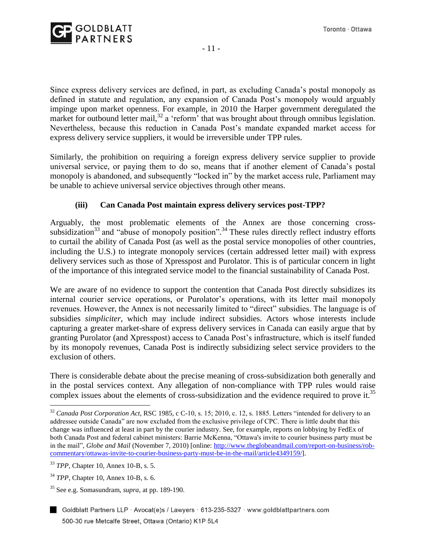

Since express delivery services are defined, in part, as excluding Canada's postal monopoly as defined in statute and regulation, any expansion of Canada Post's monopoly would arguably impinge upon market openness. For example, in 2010 the Harper government deregulated the market for outbound letter mail,<sup>32</sup> a 'reform' that was brought about through omnibus legislation. Nevertheless, because this reduction in Canada Post's mandate expanded market access for express delivery service suppliers, it would be irreversible under TPP rules.

Similarly, the prohibition on requiring a foreign express delivery service supplier to provide universal service, or paying them to do so, means that if another element of Canada's postal monopoly is abandoned, and subsequently "locked in" by the market access rule, Parliament may be unable to achieve universal service objectives through other means.

## **(iii) Can Canada Post maintain express delivery services post-TPP?**

Arguably, the most problematic elements of the Annex are those concerning crosssubsidization<sup>33</sup> and "abuse of monopoly position".<sup>34</sup> These rules directly reflect industry efforts to curtail the ability of Canada Post (as well as the postal service monopolies of other countries, including the U.S.) to integrate monopoly services (certain addressed letter mail) with express delivery services such as those of Xpresspost and Purolator. This is of particular concern in light of the importance of this integrated service model to the financial sustainability of Canada Post.

We are aware of no evidence to support the contention that Canada Post directly subsidizes its internal courier service operations, or Purolator's operations, with its letter mail monopoly revenues. However, the Annex is not necessarily limited to "direct" subsidies. The language is of subsidies *simpliciter*, which may include indirect subsidies. Actors whose interests include capturing a greater market-share of express delivery services in Canada can easily argue that by granting Purolator (and Xpresspost) access to Canada Post's infrastructure, which is itself funded by its monopoly revenues, Canada Post is indirectly subsidizing select service providers to the exclusion of others.

There is considerable debate about the precise meaning of cross-subsidization both generally and in the postal services context. Any allegation of non-compliance with TPP rules would raise complex issues about the elements of cross-subsidization and the evidence required to prove it.<sup>35</sup>

<sup>32</sup> *Canada Post Corporation Act*, RSC 1985, c C-10, s. 15; 2010, c. 12, s. 1885. Letters "intended for delivery to an addressee outside Canada" are now excluded from the exclusive privilege of CPC. There is little doubt that this change was influenced at least in part by the courier industry. See, for example, reports on lobbying by FedEx of both Canada Post and federal cabinet ministers: Barrie McKenna, "Ottawa's invite to courier business party must be in the mail", *Globe and Mail* (November 7, 2010) [online: [http://www.theglobeandmail.com/report-on-business/rob](http://www.theglobeandmail.com/report-on-business/rob-commentary/ottawas-invite-to-courier-business-party-must-be-in-the-mail/article4349159/)[commentary/ottawas-invite-to-courier-business-party-must-be-in-the-mail/article4349159/\]](http://www.theglobeandmail.com/report-on-business/rob-commentary/ottawas-invite-to-courier-business-party-must-be-in-the-mail/article4349159/).

<sup>33</sup> *TPP*, Chapter 10, Annex 10-B, s. 5.

<sup>34</sup> *TPP*, Chapter 10, Annex 10-B, s. 6.

<sup>35</sup> See e.g. Somasundram, *supra*, at pp. 189-190.

Goldblatt Partners LLP · Avocat(e)s / Lawyers · 613-235-5327 · www.goldblattpartners.com 500-30 rue Metcalfe Street, Ottawa (Ontario) K1P 5L4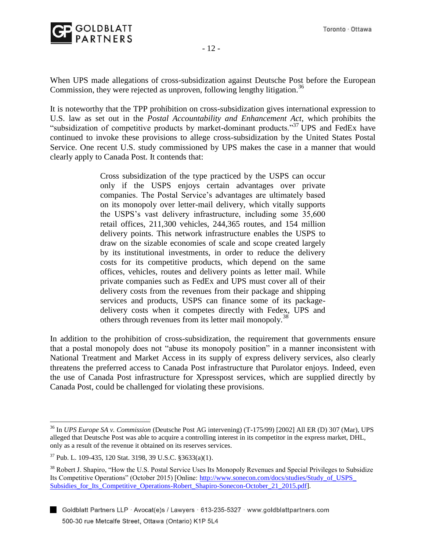

When UPS made allegations of cross-subsidization against Deutsche Post before the European Commission, they were rejected as unproven, following lengthy litigation.<sup>36</sup>

It is noteworthy that the TPP prohibition on cross-subsidization gives international expression to U.S. law as set out in the *Postal Accountability and Enhancement Act,* which prohibits the "subsidization of competitive products by market-dominant products."<sup>37</sup> UPS and FedEx have continued to invoke these provisions to allege cross-subsidization by the United States Postal Service. One recent U.S. study commissioned by UPS makes the case in a manner that would clearly apply to Canada Post. It contends that:

> Cross subsidization of the type practiced by the USPS can occur only if the USPS enjoys certain advantages over private companies. The Postal Service's advantages are ultimately based on its monopoly over letter-mail delivery, which vitally supports the USPS's vast delivery infrastructure, including some 35,600 retail offices, 211,300 vehicles, 244,365 routes, and 154 million delivery points. This network infrastructure enables the USPS to draw on the sizable economies of scale and scope created largely by its institutional investments, in order to reduce the delivery costs for its competitive products, which depend on the same offices, vehicles, routes and delivery points as letter mail. While private companies such as FedEx and UPS must cover all of their delivery costs from the revenues from their package and shipping services and products, USPS can finance some of its packagedelivery costs when it competes directly with Fedex, UPS and others through revenues from its letter mail monopoly.<sup>38</sup>

In addition to the prohibition of cross-subsidization, the requirement that governments ensure that a postal monopoly does not "abuse its monopoly position" in a manner inconsistent with National Treatment and Market Access in its supply of express delivery services, also clearly threatens the preferred access to Canada Post infrastructure that Purolator enjoys. Indeed, even the use of Canada Post infrastructure for Xpresspost services, which are supplied directly by Canada Post, could be challenged for violating these provisions.

<sup>36</sup> In *UPS Europe SA v. Commission* (Deutsche Post AG intervening) (T-175/99) [2002] All ER (D) 307 (Mar), UPS alleged that Deutsche Post was able to acquire a controlling interest in its competitor in the express market, DHL, only as a result of the revenue it obtained on its reserves services.

<sup>37</sup> Pub. L. 109-435, 120 Stat. 3198, 39 U.S.C. §3633(a)(1).

<sup>&</sup>lt;sup>38</sup> Robert J. Shapiro, "How the U.S. Postal Service Uses Its Monopoly Revenues and Special Privileges to Subsidize Its Competitive Operations" (October 2015) [Online: [http://www.sonecon.com/docs/studies/Study\\_of\\_USPS\\_](http://www.sonecon.com/docs/studies/Study_of_USPS_%20Subsidies_for_Its_Competitive_Operations-Robert_Shapiro-Sonecon-October_21_2015.pdf) Subsidies for Its Competitive Operations-Robert Shapiro-Sonecon-October 21 2015.pdf].

Goldblatt Partners LLP · Avocat(e)s / Lawyers · 613-235-5327 · www.goldblattpartners.com 500-30 rue Metcalfe Street, Ottawa (Ontario) K1P 5L4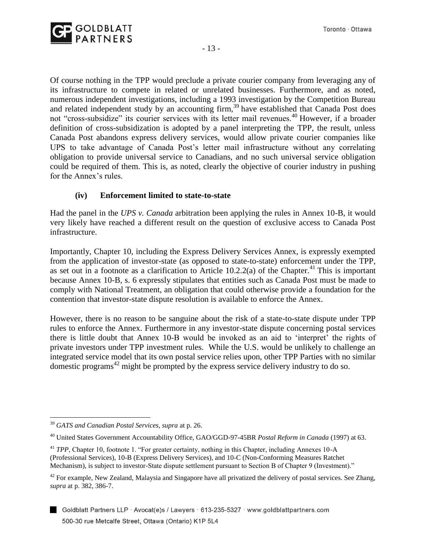

- 13 -

Of course nothing in the TPP would preclude a private courier company from leveraging any of its infrastructure to compete in related or unrelated businesses. Furthermore, and as noted, numerous independent investigations, including a 1993 investigation by the Competition Bureau and related independent study by an accounting firm,  $39$  have established that Canada Post does not "cross-subsidize" its courier services with its letter mail revenues.<sup>40</sup> However, if a broader definition of cross-subsidization is adopted by a panel interpreting the TPP, the result, unless Canada Post abandons express delivery services, would allow private courier companies like UPS to take advantage of Canada Post's letter mail infrastructure without any correlating obligation to provide universal service to Canadians, and no such universal service obligation could be required of them. This is, as noted, clearly the objective of courier industry in pushing for the Annex's rules.

### **(iv) Enforcement limited to state-to-state**

Had the panel in the *UPS v. Canada* arbitration been applying the rules in Annex 10-B, it would very likely have reached a different result on the question of exclusive access to Canada Post infrastructure.

Importantly, Chapter 10, including the Express Delivery Services Annex, is expressly exempted from the application of investor-state (as opposed to state-to-state) enforcement under the TPP, as set out in a footnote as a clarification to Article 10.2.2(a) of the Chapter.<sup>41</sup> This is important because Annex 10-B, s. 6 expressly stipulates that entities such as Canada Post must be made to comply with National Treatment, an obligation that could otherwise provide a foundation for the contention that investor-state dispute resolution is available to enforce the Annex.

However, there is no reason to be sanguine about the risk of a state-to-state dispute under TPP rules to enforce the Annex. Furthermore in any investor-state dispute concerning postal services there is little doubt that Annex 10-B would be invoked as an aid to 'interpret' the rights of private investors under TPP investment rules. While the U.S. would be unlikely to challenge an integrated service model that its own postal service relies upon, other TPP Parties with no similar domestic programs<sup>42</sup> might be prompted by the express service delivery industry to do so.

<sup>39</sup> *GATS and Canadian Postal Services, supra* at p. 26.

<sup>40</sup> United States Government Accountability Office, GAO/GGD-97-45BR *Postal Reform in Canada* (1997) at 63.

<sup>&</sup>lt;sup>41</sup> *TPP*, Chapter 10, footnote 1. "For greater certainty, nothing in this Chapter, including Annexes 10-A (Professional Services), 10-B (Express Delivery Services), and 10-C (Non-Conforming Measures Ratchet Mechanism), is subject to investor-State dispute settlement pursuant to Section B of Chapter 9 (Investment)."

 $42$  For example, New Zealand, Malaysia and Singapore have all privatized the delivery of postal services. See Zhang, *supra* at p. 382, 386-7.

Goldblatt Partners LLP · Avocat(e)s / Lawyers · 613-235-5327 · www.goldblattpartners.com 500-30 rue Metcalfe Street, Ottawa (Ontario) K1P 5L4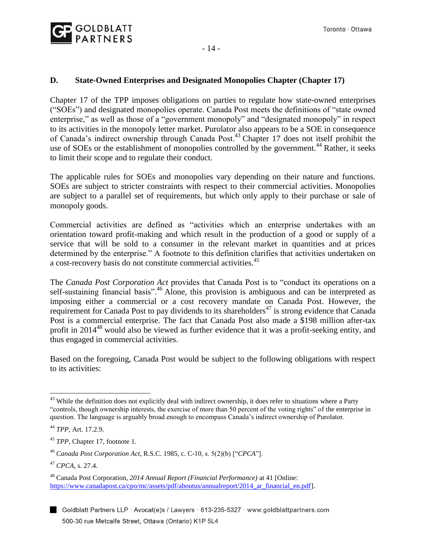

#### **D. State-Owned Enterprises and Designated Monopolies Chapter (Chapter 17)**

Chapter 17 of the TPP imposes obligations on parties to regulate how state-owned enterprises ("SOEs") and designated monopolies operate. Canada Post meets the definitions of "state owned enterprise," as well as those of a "government monopoly" and "designated monopoly" in respect to its activities in the monopoly letter market. Purolator also appears to be a SOE in consequence of Canada's indirect ownership through Canada Post.<sup>43</sup> Chapter 17 does not itself prohibit the use of SOEs or the establishment of monopolies controlled by the government.<sup>44</sup> Rather, it seeks to limit their scope and to regulate their conduct.

The applicable rules for SOEs and monopolies vary depending on their nature and functions. SOEs are subject to stricter constraints with respect to their commercial activities. Monopolies are subject to a parallel set of requirements, but which only apply to their purchase or sale of monopoly goods.

Commercial activities are defined as "activities which an enterprise undertakes with an orientation toward profit-making and which result in the production of a good or supply of a service that will be sold to a consumer in the relevant market in quantities and at prices determined by the enterprise." A footnote to this definition clarifies that activities undertaken on a cost-recovery basis do not constitute commercial activities.<sup>45</sup>

The *Canada Post Corporation Act* provides that Canada Post is to "conduct its operations on a self-sustaining financial basis".<sup>46</sup> Alone, this provision is ambiguous and can be interpreted as imposing either a commercial or a cost recovery mandate on Canada Post. However, the requirement for Canada Post to pay dividends to its shareholders<sup>47</sup> is strong evidence that Canada Post is a commercial enterprise. The fact that Canada Post also made a \$198 million after-tax profit in 2014<sup>48</sup> would also be viewed as further evidence that it was a profit-seeking entity, and thus engaged in commercial activities.

Based on the foregoing, Canada Post would be subject to the following obligations with respect to its activities:

 $43$  While the definition does not explicitly deal with indirect ownership, it does refer to situations where a Party "controls, though ownership interests, the exercise of more than 50 percent of the voting rights" of the enterprise in question. The language is arguably broad enough to encompass Canada's indirect ownership of Purolator.

<sup>44</sup> *TPP*, Art. 17.2.9.

<sup>45</sup> *TPP,* Chapter 17, footnote 1.

<sup>46</sup> *Canada Post Corporation Act*, R.S.C. 1985, c. C-10, s. 5(2)(b) ["*CPCA*"].

<sup>47</sup> *CPCA*, s. 27.4.

<sup>48</sup> Canada Post Corporation, *2014 Annual Report (Financial Performance)* at 41 [Online: https://www.canadapost.ca/cpo/mc/assets/pdf/aboutus/annualreport/2014 ar financial en.pdf].

Goldblatt Partners LLP · Avocat(e)s / Lawyers · 613-235-5327 · www.goldblattpartners.com 500-30 rue Metcalfe Street, Ottawa (Ontario) K1P 5L4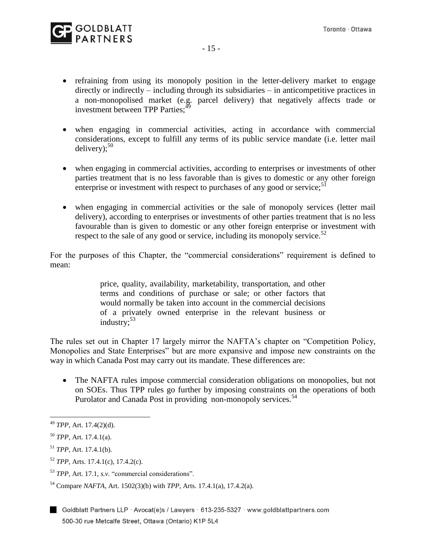

- refraining from using its monopoly position in the letter-delivery market to engage directly or indirectly – including through its subsidiaries – in anticompetitive practices in a non-monopolised market (e.g. parcel delivery) that negatively affects trade or investment between TPP Parties:
	- when engaging in commercial activities, acting in accordance with commercial considerations, except to fulfill any terms of its public service mandate (i.e. letter mail delivery); $50$
- when engaging in commercial activities, according to enterprises or investments of other parties treatment that is no less favorable than is gives to domestic or any other foreign enterprise or investment with respect to purchases of any good or service;  $51$
- when engaging in commercial activities or the sale of monopoly services (letter mail delivery), according to enterprises or investments of other parties treatment that is no less favourable than is given to domestic or any other foreign enterprise or investment with respect to the sale of any good or service, including its monopoly service.<sup>52</sup>

For the purposes of this Chapter, the "commercial considerations" requirement is defined to mean:

> price, quality, availability, marketability, transportation, and other terms and conditions of purchase or sale; or other factors that would normally be taken into account in the commercial decisions of a privately owned enterprise in the relevant business or industry: $53$

The rules set out in Chapter 17 largely mirror the NAFTA's chapter on "Competition Policy, Monopolies and State Enterprises" but are more expansive and impose new constraints on the way in which Canada Post may carry out its mandate. These differences are:

 The NAFTA rules impose commercial consideration obligations on monopolies, but not on SOEs. Thus TPP rules go further by imposing constraints on the operations of both Purolator and Canada Post in providing non-monopoly services.<sup>54</sup>

<sup>49</sup> *TPP*, Art. 17.4(2)(d).

<sup>50</sup> *TPP*, Art. 17.4.1(a).

<sup>51</sup> *TPP*, Art. 17.4.1(b).

<sup>52</sup> *TPP*, Arts. 17.4.1(c), 17.4.2(c).

<sup>53</sup> *TPP*, Art. 17.1, *s.v.* "commercial considerations".

<sup>54</sup> Compare *NAFTA*, Art. 1502(3)(b) with *TPP*, Arts. 17.4.1(a), 17.4.2(a).

Goldblatt Partners LLP · Avocat(e)s / Lawyers · 613-235-5327 · www.goldblattpartners.com 500-30 rue Metcalfe Street, Ottawa (Ontario) K1P 5L4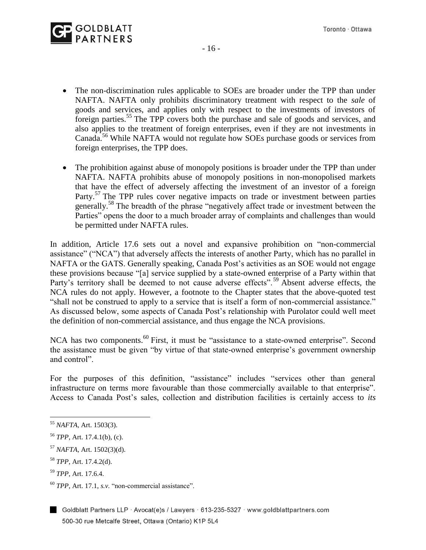

- The non-discrimination rules applicable to SOEs are broader under the TPP than under NAFTA. NAFTA only prohibits discriminatory treatment with respect to the *sale* of goods and services, and applies only with respect to the investments of investors of foreign parties.<sup>55</sup> The TPP covers both the purchase and sale of goods and services, and also applies to the treatment of foreign enterprises, even if they are not investments in Canada.<sup>56</sup> While NAFTA would not regulate how SOEs purchase goods or services from foreign enterprises, the TPP does.
- The prohibition against abuse of monopoly positions is broader under the TPP than under NAFTA. NAFTA prohibits abuse of monopoly positions in non-monopolised markets that have the effect of adversely affecting the investment of an investor of a foreign Party.<sup>57</sup> The TPP rules cover negative impacts on trade or investment between parties generally.<sup>58</sup> The breadth of the phrase "negatively affect trade or investment between the Parties" opens the door to a much broader array of complaints and challenges than would be permitted under NAFTA rules.

In addition, Article 17.6 sets out a novel and expansive prohibition on "non-commercial assistance" ("NCA") that adversely affects the interests of another Party, which has no parallel in NAFTA or the GATS. Generally speaking, Canada Post's activities as an SOE would not engage these provisions because "[a] service supplied by a state-owned enterprise of a Party within that Party's territory shall be deemed to not cause adverse effects".<sup>59</sup> Absent adverse effects, the NCA rules do not apply. However, a footnote to the Chapter states that the above-quoted test "shall not be construed to apply to a service that is itself a form of non-commercial assistance." As discussed below, some aspects of Canada Post's relationship with Purolator could well meet the definition of non-commercial assistance, and thus engage the NCA provisions.

NCA has two components.<sup>60</sup> First, it must be "assistance to a state-owned enterprise". Second the assistance must be given "by virtue of that state-owned enterprise's government ownership and control".

For the purposes of this definition, "assistance" includes "services other than general infrastructure on terms more favourable than those commercially available to that enterprise". Access to Canada Post's sales, collection and distribution facilities is certainly access to *its*

<sup>55</sup> *NAFTA*, Art. 1503(3).

<sup>56</sup> *TPP*, Art. 17.4.1(b), (c).

<sup>57</sup> *NAFTA*, Art. 1502(3)(d).

<sup>58</sup> *TPP*, Art. 17.4.2(d).

<sup>59</sup> *TPP*, Art. 17.6.4.

<sup>60</sup> *TPP*, Art. 17.1, *s.v.* "non-commercial assistance".

Goldblatt Partners LLP · Avocat(e)s / Lawyers · 613-235-5327 · www.goldblattpartners.com 500-30 rue Metcalfe Street, Ottawa (Ontario) K1P 5L4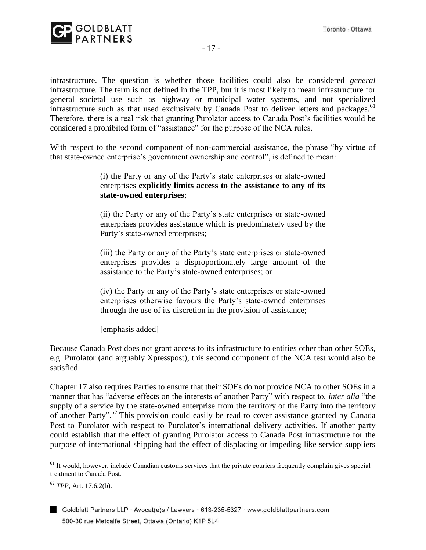

infrastructure. The question is whether those facilities could also be considered *general*  infrastructure. The term is not defined in the TPP, but it is most likely to mean infrastructure for general societal use such as highway or municipal water systems, and not specialized infrastructure such as that used exclusively by Canada Post to deliver letters and packages.<sup>61</sup> Therefore, there is a real risk that granting Purolator access to Canada Post's facilities would be considered a prohibited form of "assistance" for the purpose of the NCA rules.

With respect to the second component of non-commercial assistance, the phrase "by virtue of that state-owned enterprise's government ownership and control", is defined to mean:

> (i) the Party or any of the Party's state enterprises or state-owned enterprises **explicitly limits access to the assistance to any of its state-owned enterprises**;

> (ii) the Party or any of the Party's state enterprises or state-owned enterprises provides assistance which is predominately used by the Party's state-owned enterprises;

> (iii) the Party or any of the Party's state enterprises or state-owned enterprises provides a disproportionately large amount of the assistance to the Party's state-owned enterprises; or

> (iv) the Party or any of the Party's state enterprises or state-owned enterprises otherwise favours the Party's state-owned enterprises through the use of its discretion in the provision of assistance;

[emphasis added]

Because Canada Post does not grant access to its infrastructure to entities other than other SOEs, e.g. Purolator (and arguably Xpresspost), this second component of the NCA test would also be satisfied.

Chapter 17 also requires Parties to ensure that their SOEs do not provide NCA to other SOEs in a manner that has "adverse effects on the interests of another Party" with respect to, *inter alia* "the supply of a service by the state-owned enterprise from the territory of the Party into the territory of another Party".<sup>62</sup> This provision could easily be read to cover assistance granted by Canada Post to Purolator with respect to Purolator's international delivery activities. If another party could establish that the effect of granting Purolator access to Canada Post infrastructure for the purpose of international shipping had the effect of displacing or impeding like service suppliers

<sup>&</sup>lt;sup>61</sup> It would, however, include Canadian customs services that the private couriers frequently complain gives special treatment to Canada Post.

<sup>62</sup> *TPP*, Art. 17.6.2(b).

Goldblatt Partners LLP · Avocat(e)s / Lawyers · 613-235-5327 · www.goldblattpartners.com 500-30 rue Metcalfe Street, Ottawa (Ontario) K1P 5L4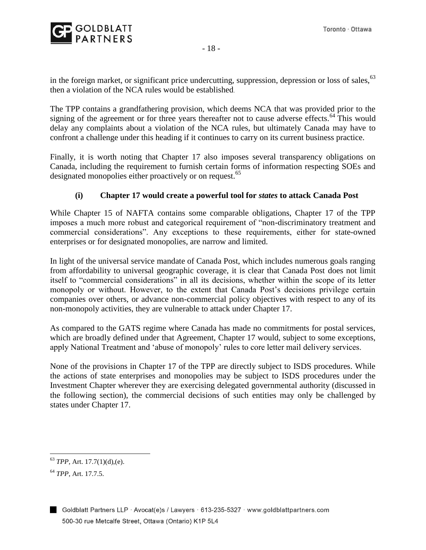

in the foreign market, or significant price undercutting, suppression, depression or loss of sales, <sup>63</sup> then a violation of the NCA rules would be established.

The TPP contains a grandfathering provision, which deems NCA that was provided prior to the signing of the agreement or for three years thereafter not to cause adverse effects.<sup>64</sup> This would delay any complaints about a violation of the NCA rules, but ultimately Canada may have to confront a challenge under this heading if it continues to carry on its current business practice.

Finally, it is worth noting that Chapter 17 also imposes several transparency obligations on Canada, including the requirement to furnish certain forms of information respecting SOEs and designated monopolies either proactively or on request.<sup>65</sup>

# **(i) Chapter 17 would create a powerful tool for** *states* **to attack Canada Post**

While Chapter 15 of NAFTA contains some comparable obligations, Chapter 17 of the TPP imposes a much more robust and categorical requirement of "non-discriminatory treatment and commercial considerations". Any exceptions to these requirements, either for state-owned enterprises or for designated monopolies, are narrow and limited.

In light of the universal service mandate of Canada Post, which includes numerous goals ranging from affordability to universal geographic coverage, it is clear that Canada Post does not limit itself to "commercial considerations" in all its decisions, whether within the scope of its letter monopoly or without. However, to the extent that Canada Post's decisions privilege certain companies over others, or advance non-commercial policy objectives with respect to any of its non-monopoly activities, they are vulnerable to attack under Chapter 17.

As compared to the GATS regime where Canada has made no commitments for postal services, which are broadly defined under that Agreement, Chapter 17 would, subject to some exceptions, apply National Treatment and 'abuse of monopoly' rules to core letter mail delivery services.

None of the provisions in Chapter 17 of the TPP are directly subject to ISDS procedures. While the actions of state enterprises and monopolies may be subject to ISDS procedures under the Investment Chapter wherever they are exercising delegated governmental authority (discussed in the following section), the commercial decisions of such entities may only be challenged by states under Chapter 17.

 $\overline{a}$ <sup>63</sup> *TPP,* Art. 17.7(1)(d),(e).

<sup>64</sup> *TPP*, Art. 17.7.5.

Goldblatt Partners LLP · Avocat(e)s / Lawyers · 613-235-5327 · www.goldblattpartners.com 500-30 rue Metcalfe Street, Ottawa (Ontario) K1P 5L4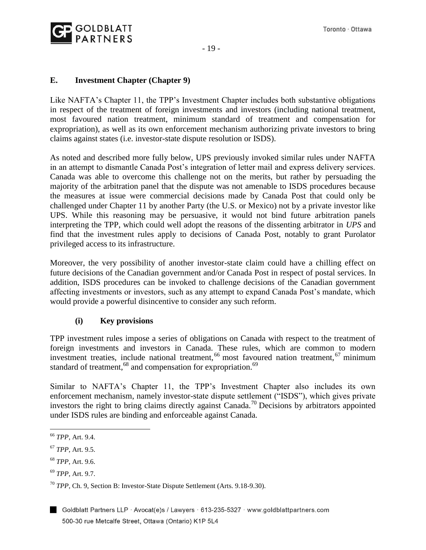# **E. Investment Chapter (Chapter 9)**

Like NAFTA's Chapter 11, the TPP's Investment Chapter includes both substantive obligations in respect of the treatment of foreign investments and investors (including national treatment, most favoured nation treatment, minimum standard of treatment and compensation for expropriation), as well as its own enforcement mechanism authorizing private investors to bring claims against states (i.e. investor-state dispute resolution or ISDS).

As noted and described more fully below, UPS previously invoked similar rules under NAFTA in an attempt to dismantle Canada Post's integration of letter mail and express delivery services. Canada was able to overcome this challenge not on the merits, but rather by persuading the majority of the arbitration panel that the dispute was not amenable to ISDS procedures because the measures at issue were commercial decisions made by Canada Post that could only be challenged under Chapter 11 by another Party (the U.S. or Mexico) not by a private investor like UPS. While this reasoning may be persuasive, it would not bind future arbitration panels interpreting the TPP, which could well adopt the reasons of the dissenting arbitrator in *UPS* and find that the investment rules apply to decisions of Canada Post, notably to grant Purolator privileged access to its infrastructure.

Moreover, the very possibility of another investor-state claim could have a chilling effect on future decisions of the Canadian government and/or Canada Post in respect of postal services. In addition, ISDS procedures can be invoked to challenge decisions of the Canadian government affecting investments or investors, such as any attempt to expand Canada Post's mandate, which would provide a powerful disincentive to consider any such reform.

### **(i) Key provisions**

TPP investment rules impose a series of obligations on Canada with respect to the treatment of foreign investments and investors in Canada. These rules, which are common to modern investment treaties, include national treatment,  $66$  most favoured nation treatment,  $67$  minimum standard of treatment,<sup>68</sup> and compensation for expropriation.<sup>69</sup>

Similar to NAFTA's Chapter 11, the TPP's Investment Chapter also includes its own enforcement mechanism, namely investor-state dispute settlement ("ISDS"), which gives private investors the right to bring claims directly against Canada.<sup>70</sup> Decisions by arbitrators appointed under ISDS rules are binding and enforceable against Canada.

<sup>66</sup> *TPP*, Art. 9.4.

<sup>67</sup> *TPP*, Art. 9.5.

<sup>68</sup> *TPP*, Art. 9.6.

<sup>69</sup> *TPP*, Art. 9.7.

<sup>70</sup> *TPP,* Ch. 9, Section B: Investor-State Dispute Settlement (Arts. 9.18-9.30).

Goldblatt Partners LLP · Avocat(e)s / Lawyers · 613-235-5327 · www.goldblattpartners.com 500-30 rue Metcalfe Street, Ottawa (Ontario) K1P 5L4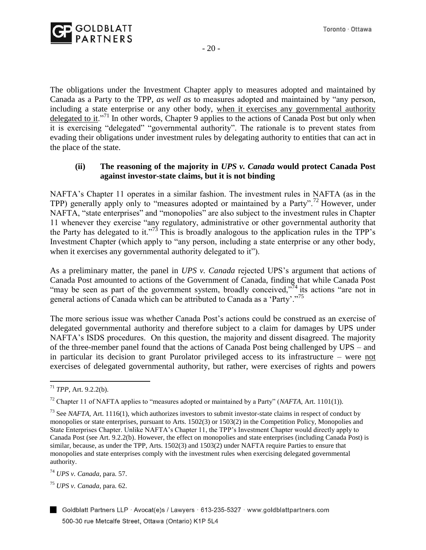

The obligations under the Investment Chapter apply to measures adopted and maintained by Canada as a Party to the TPP, *as well as* to measures adopted and maintained by "any person, including a state enterprise or any other body, when it exercises any governmental authority delegated to it."<sup>71</sup> In other words, Chapter 9 applies to the actions of Canada Post but only when it is exercising "delegated" "governmental authority". The rationale is to prevent states from evading their obligations under investment rules by delegating authority to entities that can act in the place of the state.

#### **(ii) The reasoning of the majority in** *UPS v. Canada* **would protect Canada Post against investor-state claims, but it is not binding**

NAFTA's Chapter 11 operates in a similar fashion. The investment rules in NAFTA (as in the TPP) generally apply only to "measures adopted or maintained by a Party".<sup>72</sup> However, under NAFTA, "state enterprises" and "monopolies" are also subject to the investment rules in Chapter 11 whenever they exercise "any regulatory, administrative or other governmental authority that the Party has delegated to it."<sup>73</sup> This is broadly analogous to the application rules in the TPP's Investment Chapter (which apply to "any person, including a state enterprise or any other body, when it exercises any governmental authority delegated to it").

As a preliminary matter, the panel in *UPS v. Canada* rejected UPS's argument that actions of Canada Post amounted to actions of the Government of Canada, finding that while Canada Post "may be seen as part of the government system, broadly conceived," $\bar{7}$ <sup>4</sup> its actions "are not in general actions of Canada which can be attributed to Canada as a 'Party'."<sup>75</sup>

The more serious issue was whether Canada Post's actions could be construed as an exercise of delegated governmental authority and therefore subject to a claim for damages by UPS under NAFTA's ISDS procedures. On this question, the majority and dissent disagreed. The majority of the three-member panel found that the actions of Canada Post being challenged by UPS – and in particular its decision to grant Purolator privileged access to its infrastructure – were not exercises of delegated governmental authority, but rather, were exercises of rights and powers

 $\overline{a}$ 

<sup>75</sup> *UPS v. Canada,* para. 62.

<sup>71</sup> *TPP*, Art. 9.2.2(b).

<sup>72</sup> Chapter 11 of NAFTA applies to "measures adopted or maintained by a Party" (*NAFTA,* Art. 1101(1)).

<sup>&</sup>lt;sup>73</sup> See *NAFTA*, Art. 1116(1), which authorizes investors to submit investor-state claims in respect of conduct by monopolies or state enterprises, pursuant to Arts. 1502(3) or 1503(2) in the Competition Policy, Monopolies and State Enterprises Chapter. Unlike NAFTA's Chapter 11, the TPP's Investment Chapter would directly apply to Canada Post (see Art. 9.2.2(b). However, the effect on monopolies and state enterprises (including Canada Post) is similar, because, as under the TPP, Arts. 1502(3) and 1503(2) under NAFTA require Parties to ensure that monopolies and state enterprises comply with the investment rules when exercising delegated governmental authority.

<sup>74</sup> *UPS v. Canada,* para. 57.

Goldblatt Partners LLP · Avocat(e)s / Lawyers · 613-235-5327 · www.goldblattpartners.com 500-30 rue Metcalfe Street, Ottawa (Ontario) K1P 5L4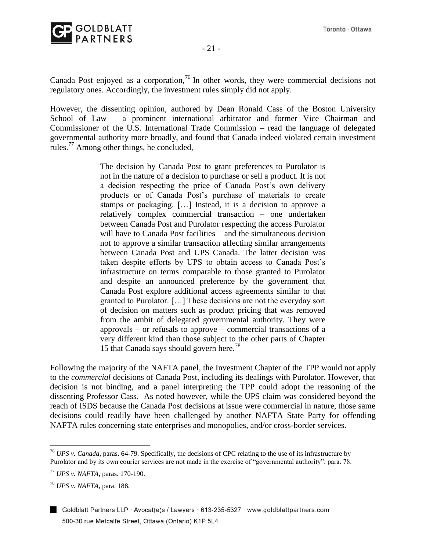

Canada Post enjoyed as a corporation,<sup>76</sup> In other words, they were commercial decisions not regulatory ones. Accordingly, the investment rules simply did not apply.

However, the dissenting opinion, authored by Dean Ronald Cass of the Boston University School of Law – a prominent international arbitrator and former Vice Chairman and Commissioner of the U.S. International Trade Commission – read the language of delegated governmental authority more broadly, and found that Canada indeed violated certain investment rules.<sup>77</sup> Among other things, he concluded,

> The decision by Canada Post to grant preferences to Purolator is not in the nature of a decision to purchase or sell a product. It is not a decision respecting the price of Canada Post's own delivery products or of Canada Post's purchase of materials to create stamps or packaging. […] Instead, it is a decision to approve a relatively complex commercial transaction – one undertaken between Canada Post and Purolator respecting the access Purolator will have to Canada Post facilities – and the simultaneous decision not to approve a similar transaction affecting similar arrangements between Canada Post and UPS Canada. The latter decision was taken despite efforts by UPS to obtain access to Canada Post's infrastructure on terms comparable to those granted to Purolator and despite an announced preference by the government that Canada Post explore additional access agreements similar to that granted to Purolator. […] These decisions are not the everyday sort of decision on matters such as product pricing that was removed from the ambit of delegated governmental authority. They were approvals – or refusals to approve – commercial transactions of a very different kind than those subject to the other parts of Chapter 15 that Canada says should govern here.<sup>78</sup>

Following the majority of the NAFTA panel, the Investment Chapter of the TPP would not apply to the *commercial* decisions of Canada Post, including its dealings with Purolator. However, that decision is not binding, and a panel interpreting the TPP could adopt the reasoning of the dissenting Professor Cass. As noted however, while the UPS claim was considered beyond the reach of ISDS because the Canada Post decisions at issue were commercial in nature, those same decisions could readily have been challenged by another NAFTA State Party for offending NAFTA rules concerning state enterprises and monopolies, and/or cross-border services.

<sup>76</sup> *UPS v. Canada,* paras. 64-79. Specifically, the decisions of CPC relating to the use of its infrastructure by Purolator and by its own courier services are not made in the exercise of "governmental authority": para. 78.

<sup>77</sup> *UPS v. NAFTA,* paras. 170-190.

<sup>78</sup> *UPS v. NAFTA,* para. 188.

Goldblatt Partners LLP · Avocat(e)s / Lawyers · 613-235-5327 · www.goldblattpartners.com 500-30 rue Metcalfe Street, Ottawa (Ontario) K1P 5L4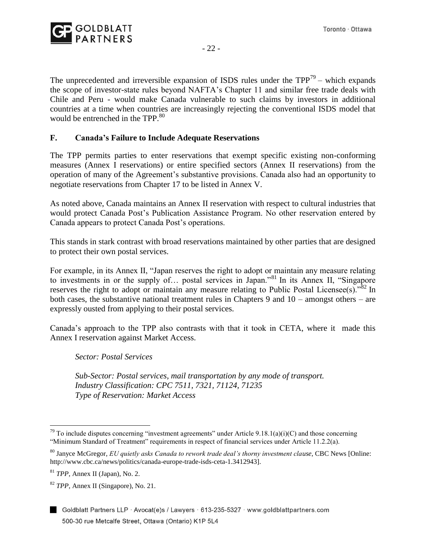- 22 -

The unprecedented and irreversible expansion of ISDS rules under the  $TPP^{79}$  – which expands the scope of investor-state rules beyond NAFTA's Chapter 11 and similar free trade deals with Chile and Peru - would make Canada vulnerable to such claims by investors in additional countries at a time when countries are increasingly rejecting the conventional ISDS model that would be entrenched in the TPP.<sup>80</sup>

## **F. Canada's Failure to Include Adequate Reservations**

The TPP permits parties to enter reservations that exempt specific existing non-conforming measures (Annex I reservations) or entire specified sectors (Annex II reservations) from the operation of many of the Agreement's substantive provisions. Canada also had an opportunity to negotiate reservations from Chapter 17 to be listed in Annex V.

As noted above, Canada maintains an Annex II reservation with respect to cultural industries that would protect Canada Post's Publication Assistance Program. No other reservation entered by Canada appears to protect Canada Post's operations.

This stands in stark contrast with broad reservations maintained by other parties that are designed to protect their own postal services.

For example, in its Annex II, "Japan reserves the right to adopt or maintain any measure relating to investments in or the supply of... postal services in Japan."<sup>81</sup> In its Annex II, "Singapore" reserves the right to adopt or maintain any measure relating to Public Postal Licensee(s)."<sup>82</sup> In both cases, the substantive national treatment rules in Chapters 9 and 10 – amongst others – are expressly ousted from applying to their postal services.

Canada's approach to the TPP also contrasts with that it took in CETA, where it made this Annex I reservation against Market Access.

*Sector: Postal Services*

*Sub-Sector: Postal services, mail transportation by any mode of transport. Industry Classification: CPC 7511, 7321, 71124, 71235 Type of Reservation: Market Access*

 $\overline{a}$  $79$  To include disputes concerning "investment agreements" under Article 9.18.1(a)(i)(C) and those concerning "Minimum Standard of Treatment" requirements in respect of financial services under Article 11.2.2(a).

<sup>80</sup> Janyce McGregor, *EU quietly asks Canada to rework trade deal's thorny investment clause*, CBC News [Online: http://www.cbc.ca/news/politics/canada-europe-trade-isds-ceta-1.3412943].

<sup>81</sup> *TPP*, Annex II (Japan), No. 2.

<sup>82</sup> *TPP,* Annex II (Singapore), No. 21.

Goldblatt Partners LLP · Avocat(e)s / Lawyers · 613-235-5327 · www.goldblattpartners.com 500-30 rue Metcalfe Street, Ottawa (Ontario) K1P 5L4